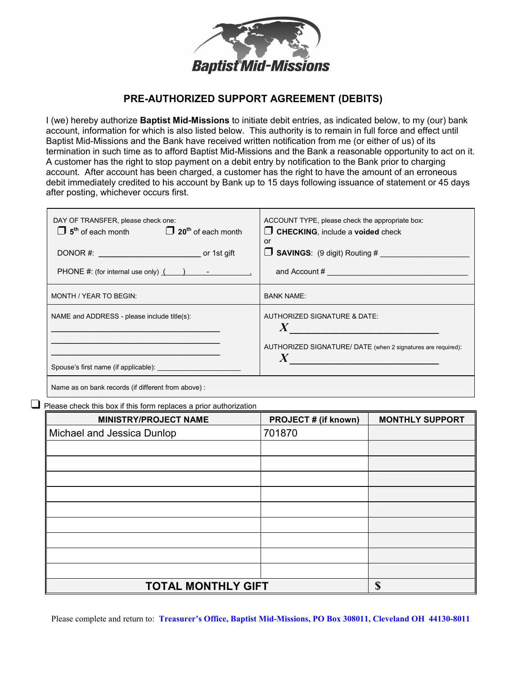

## PRE-AUTHORIZED SUPPORT AGREEMENT (DEBITS)

I (we) hereby authorize **Baptist Mid-Missions** to initiate debit entries, as indicated below, to my (our) bank account, information for which is also listed below. This authority is to remain in full force and effect until Baptist Mid-Missions and the Bank have received written notification from me (or either of us) of its termination in such time as to afford Baptist Mid-Missions and the Bank a reasonable opportunity to act on it. A customer has the right to stop payment on a debit entry by notification to the Bank prior to charging account. After account has been charged, a customer has the right to have the amount of an erroneous debit immediately credited to his account by Bank up to 15 days following issuance of statement or 45 days after posting, whichever occurs first.

| or<br><b>SAVINGS:</b> (9 digit) Routing #                                                                                             |
|---------------------------------------------------------------------------------------------------------------------------------------|
|                                                                                                                                       |
| <b>BANK NAME:</b>                                                                                                                     |
| AUTHORIZED SIGNATURE & DATE:<br>AUTHORIZED SIGNATURE/ DATE (when 2 signatures are required):<br>$\boldsymbol{X}$ and $\boldsymbol{X}$ |
|                                                                                                                                       |

Name as on bank records (if different from above) :

 $\Box$  Please check this box if this form replaces a prior authorization

| <b>MINISTRY/PROJECT NAME</b> | <b>PROJECT # (if known)</b> | <b>MONTHLY SUPPORT</b> |
|------------------------------|-----------------------------|------------------------|
| Michael and Jessica Dunlop   | 701870                      |                        |
|                              |                             |                        |
|                              |                             |                        |
|                              |                             |                        |
|                              |                             |                        |
|                              |                             |                        |
|                              |                             |                        |
|                              |                             |                        |
|                              |                             |                        |
|                              |                             |                        |
| <b>TOTAL MONTHLY GIFT</b>    |                             | S                      |

Please complete and return to: Treasurer's Office, Baptist Mid-Missions, PO Box 308011, Cleveland OH 44130-8011